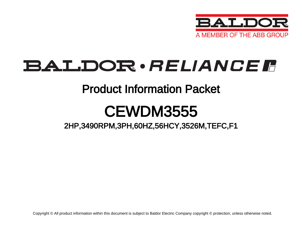

# BALDOR · RELIANCE F

### Product Information Packet

# CEWDM3555

2HP,3490RPM,3PH,60HZ,56HCY,3526M,TEFC,F1

Copyright © All product information within this document is subject to Baldor Electric Company copyright © protection, unless otherwise noted.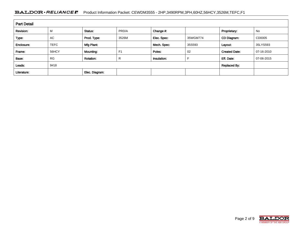#### BALDOR · RELIANCE F Product Information Packet: CEWDM3555 - 2HP,3490RPM,3PH,60HZ,56HCY,3526M,TEFC,F1

| <b>Part Detail</b> |             |                  |                     |             |          |                      |            |  |  |
|--------------------|-------------|------------------|---------------------|-------------|----------|----------------------|------------|--|--|
| Revision:          | M           | Status:          | PRD/A               | Change #:   |          | Proprietary:         | No         |  |  |
| Type:              | AC          | Prod. Type:      | 3526M               | Elec. Spec: | 35WGM774 | CD Diagram:          | CD0005     |  |  |
| Enclosure:         | <b>TEFC</b> | Mfg Plant:       |                     | Mech. Spec: | 35S593   | Layout:              | 35LYS593   |  |  |
| Frame:             | 56HCY       | <b>Mounting:</b> | F <sub>1</sub>      | Poles:      | 02       | <b>Created Date:</b> | 07-16-2010 |  |  |
| Base:              | <b>RG</b>   | <b>Rotation:</b> | R                   | Insulation: |          | Eff. Date:           | 07-06-2015 |  |  |
| Leads:             | 9#18        |                  | <b>Replaced By:</b> |             |          |                      |            |  |  |
| Literature:        |             | Elec. Diagram:   |                     |             |          |                      |            |  |  |

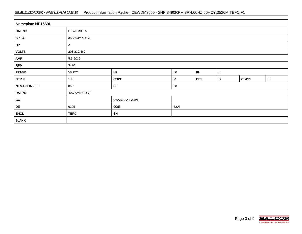#### BALDOR · RELIANCE F Product Information Packet: CEWDM3555 - 2HP,3490RPM,3PH,60HZ,56HCY,3526M,TEFC,F1

| Nameplate NP1669L |                |                |      |            |              |              |   |  |  |
|-------------------|----------------|----------------|------|------------|--------------|--------------|---|--|--|
| CAT.NO.           | CEWDM3555      |                |      |            |              |              |   |  |  |
| SPEC.             | 35S593M774G1   |                |      |            |              |              |   |  |  |
| HP                | $\overline{c}$ |                |      |            |              |              |   |  |  |
| <b>VOLTS</b>      | 208-230/460    |                |      |            |              |              |   |  |  |
| <b>AMP</b>        | $5.3 - 5/2.5$  |                |      |            |              |              |   |  |  |
| <b>RPM</b>        | 3490           |                |      |            |              |              |   |  |  |
| <b>FRAME</b>      | 56HCY          | HZ             | 60   | PH         | $\mathbf{3}$ |              |   |  |  |
| SER.F.            | 1.15           | <b>CODE</b>    | M    | <b>DES</b> | B            | <b>CLASS</b> | F |  |  |
| NEMA-NOM-EFF      | 85.5           | PF             | 88   |            |              |              |   |  |  |
| <b>RATING</b>     | 40C AMB-CONT   |                |      |            |              |              |   |  |  |
| cc                |                | USABLE AT 208V |      |            |              |              |   |  |  |
| DE                | 6205           | <b>ODE</b>     | 6203 |            |              |              |   |  |  |
| <b>ENCL</b>       | <b>TEFC</b>    | SN             |      |            |              |              |   |  |  |
| <b>BLANK</b>      |                |                |      |            |              |              |   |  |  |

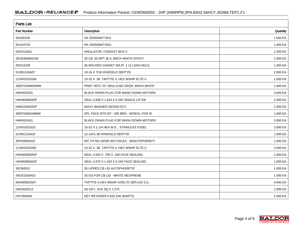| <b>Parts List</b>  |                                            |          |  |  |  |  |
|--------------------|--------------------------------------------|----------|--|--|--|--|
| Part Number        | <b>Description</b>                         | Quantity |  |  |  |  |
| SA200159           | SA 35S593M774G1                            | 1.000 EA |  |  |  |  |
| RA187478           | RA 35S593M774G1                            | 1.000 EA |  |  |  |  |
| NS2512A01          | <b>INSULATOR, CONDUIT BOX X</b>            | 1.000 EA |  |  |  |  |
| 35CB3008A01W       | 35 CB .50 NPT @ 6, MACH WHITE EPOXY        | 1.000 EA |  |  |  |  |
| 35GS1039           | 05 MOLDED GASKET W/LIP, 1.12 LEAD HOLE,    | 1.000 EA |  |  |  |  |
| 51XB1016A07        | 10-16 X 7/16 HXWSSLD SERTYB                | 2.000 EA |  |  |  |  |
| 11XW1032G06        | 10-32 X .38, TAPTITE II, HEX WSHR SLTD U   | 1.000 EA |  |  |  |  |
| 35EP3100M04MW      | FREP TEFC,"O" DRILLS, NO GRSR, MACH. WHITE | 1.000 EA |  |  |  |  |
| HW4032A01          | BLACK DRAIN PLUG FOR WASH DOWN MOTORS      | 3.000 EA |  |  |  |  |
| HW4600B49SP        | SEAL 0.938 X 1.624 X 0.250 SINGLE LIP DB   | 1.000 EA |  |  |  |  |
| HW5100A03SP        | WAVY WASHER (W1543-017)                    | 1.000 EA |  |  |  |  |
| 35EP3300A48MW      | SPL FACE MTD EP - 205 BRG - W/SEAL FOR W   | 1.000 EA |  |  |  |  |
| HW4032A01          | BLACK DRAIN PLUG FOR WASH DOWN MOTORS      | 3.000 EA |  |  |  |  |
| 12XN1032S20        | 10-32 X 1-1/4 HEX M.S., STAINLESS STEEL    | 2.000 EA |  |  |  |  |
| 51XB1214A16        | 12-14X1.00 HXWSSLD SERTYB                  | 1.000 EA |  |  |  |  |
| 35FH4005A32        | IEC FH NO GRSR W/3 HOLES - W/AUTOPHERETI   | 1.000 EA |  |  |  |  |
| 11XW1032S06        | 10-32 X .38, TAPTITE II, HEX WSHR SLTD U   | 3.000 EA |  |  |  |  |
| HW4600B39SP        | SEAL 0.550 X .790 X .180 FACE SEALING      | 1.000 EA |  |  |  |  |
| <b>HW4600B46SP</b> | SEAL 0.875 X 1.420 X 0.240 FACE SEALING    | 1.000 EA |  |  |  |  |
| 35CB4522           | 35 LIPPED CB LID AUTOPHORETIC              | 1.000 EA |  |  |  |  |
| 35GS1030A02        | 35 GS FOR CB LID - WHITE NEOPRENE          | 1.000 EA |  |  |  |  |
| 59XW0832S07        | TAPTITE II, HEX WSHR UNSLTD SER, 410 S.S., | 4.000 EA |  |  |  |  |
| HW2502D13          | SS KEY, 3/16 SQ X 1.375                    | 1.000 EA |  |  |  |  |
| HA7000A04          | KEY RETAINER 0.625 DIA SHAFTS              | 1.000 EA |  |  |  |  |

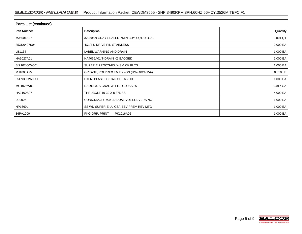| <b>Parts List (continued)</b> |                                             |          |  |  |  |  |
|-------------------------------|---------------------------------------------|----------|--|--|--|--|
| <b>Part Number</b>            | Description                                 | Quantity |  |  |  |  |
| MJ5001A27                     | 32220KN GRAY SEALER *MIN BUY 4 QTS=1GAL     | 0.001 QT |  |  |  |  |
| 85XU0407S04                   | 4X1/4 U DRIVE PIN STAINLESS                 | 2.000 EA |  |  |  |  |
| LB1164                        | LABEL, WARNING AND DRAIN                    | 1.000 EA |  |  |  |  |
| HA5027A01                     | HA4066A01 T-DRAIN X2 BAGGED                 | 1.000 EA |  |  |  |  |
| S/P107-000-001                | SUPER E PROC'S-FS, WS & CK PLTS             | 1.000 EA |  |  |  |  |
| MJ1000A75                     | GREASE, POLYREX EM EXXON (USe 4824-15A)     | 0.050 LB |  |  |  |  |
| 35FN3002A05SP                 | EXFN, PLASTIC, 6.376 OD, .638 ID            | 1.000 EA |  |  |  |  |
| MG1025W01                     | RAL9003, SIGNAL WHITE, GLOSS 85             | 0.017 GA |  |  |  |  |
| HA3100S07                     | THRUBOLT 10-32 X 8.375 SS                   | 4.000 EA |  |  |  |  |
| LC0005                        | CONN.DIA., TY M, 9-LD, DUAL VOLT, REVERSING | 1.000 EA |  |  |  |  |
| NP1669L                       | SS WD SUPER-E UL CSA-EEV PREM REV MTG       | 1.000 EA |  |  |  |  |
| 36PA1000                      | PKG GRP, PRINT<br>PK1016A06                 | 1.000 EA |  |  |  |  |

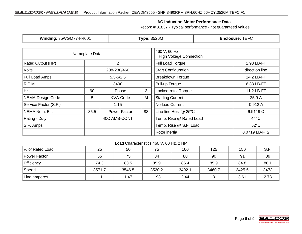### **AC Induction Motor Performance Data**

Record # 31837 - Typical performance - not guaranteed values

| <b>Winding: 35WGM774-R001</b> |                | <b>Type: 3526M</b> |                                                 | <b>Enclosure: TEFC</b>     |                 |  |
|-------------------------------|----------------|--------------------|-------------------------------------------------|----------------------------|-----------------|--|
|                               | Nameplate Data |                    | 460 V, 60 Hz:<br><b>High Voltage Connection</b> |                            |                 |  |
| Rated Output (HP)             | $\overline{2}$ | Full Load Torque   |                                                 | 2.98 LB-FT                 |                 |  |
| <b>Volts</b>                  |                | 208-230/460        |                                                 | <b>Start Configuration</b> | direct on line  |  |
| <b>Full Load Amps</b>         |                | $5.3 - 5/2.5$      |                                                 | <b>Breakdown Torque</b>    | 14.2 LB-FT      |  |
| R.P.M.                        |                | 3490               |                                                 | Pull-up Torque             | 6.33 LB-FT      |  |
| Hz                            | 60             | Phase              | 3                                               | Locked-rotor Torque        | 11.2 LB-FT      |  |
| NEMA Design Code              | B              | <b>KVA Code</b>    | M                                               | <b>Starting Current</b>    | 25.9 A          |  |
| Service Factor (S.F.)         | 1.15           |                    |                                                 | No-load Current            | 0.912A          |  |
| NEMA Nom. Eff.                | 85.5           | Power Factor       | 88                                              | Line-line Res. @ 25°C      | $6.9119 \Omega$ |  |
| Rating - Duty                 | 40C AMB-CONT   |                    |                                                 | Temp. Rise @ Rated Load    | $44^{\circ}$ C  |  |
| S.F. Amps                     |                |                    |                                                 | Temp. Rise @ S.F. Load     | $52^{\circ}$ C  |  |
|                               |                |                    |                                                 | Rotor inertia              | 0.0719 LB-FT2   |  |

#### Load Characteristics 460 V, 60 Hz, 2 HP

| % of Rated Load | 25     | 50     | 75     | 100    | 125    | 150    | S.F. |
|-----------------|--------|--------|--------|--------|--------|--------|------|
| Power Factor    | 55     | 75     | 84     | 88     | 90     | 91     | 89   |
| Efficiency      | 74.3   | 83.5   | 85.9   | 86.4   | 85.9   | 84.8   | 86.1 |
| Speed           | 3571.7 | 3546.5 | 3520.2 | 3492.1 | 3460.7 | 3425.5 | 3473 |
| Line amperes    | 1.1    | 1.47   | 1.93   | 2.44   |        | 3.61   | 2.78 |

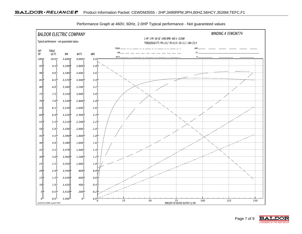

Performance Graph at 460V, 60Hz, 2.0HP Typical performance - Not guaranteed values

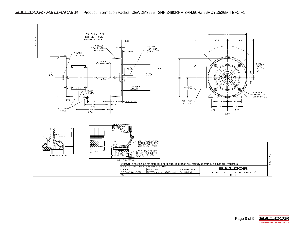